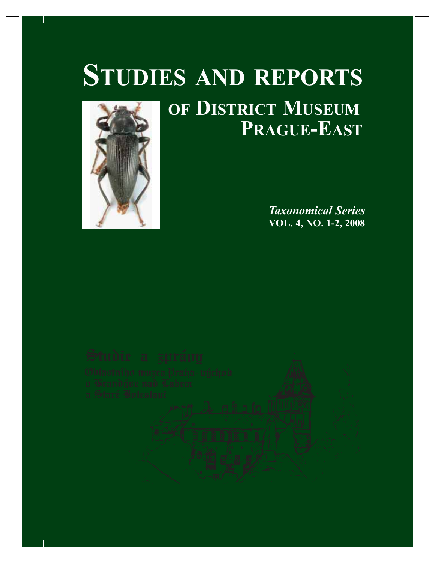## **OF DISTRICT MUSEUM STUDIES AND REPORTS**



# **PRAGUE-EAST**

*Taxonomical Series* **VOL. 4, NO. 1-2, 2008**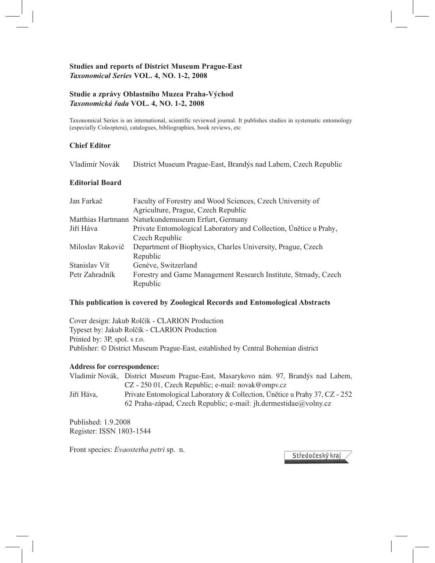### **Studies and reports of District Museum Prague-East**  *Taxonomical Series* **VOL. 4, NO. 1-2, 2008**

#### **Studie a zprávy Oblastního Muzea Praha-Východ**  *Taxonomická řada* **VOL. 4, NO. 1-2, 2008**

Taxonomical Series is an international, scientific reviewed journal. It publishes studies in systematic entomology (especially Coleoptera), catalogues, bibliographies, book reviews, etc

#### **Chief Editor**

Vladimír Novák District Museum Prague-East, Brandýs nad Labem, Czech Republic

### **Editorial Board**

| Jan Farkač       | Faculty of Forestry and Wood Sciences, Czech University of        |  |  |
|------------------|-------------------------------------------------------------------|--|--|
|                  | Agriculture, Prague, Czech Republic                               |  |  |
|                  | Matthias Hartmann Naturkundemuseum Erfurt, Germany                |  |  |
| Jiří Háva        | Private Entomological Laboratory and Collection, Únětice u Prahy, |  |  |
|                  | Czech Republic                                                    |  |  |
| Miloslav Rakovič | Department of Biophysics, Charles University, Prague, Czech       |  |  |
|                  | Republic                                                          |  |  |
| Stanislav Vít    | Genève, Switzerland                                               |  |  |
| Petr Zahradník   | Forestry and Game Management Research Institute, Strnady, Czech   |  |  |
|                  | Republic                                                          |  |  |

#### **This publication is covered by Zoological Records and Entomological Abstracts**

Cover design: Jakub Rolčík - CLARION Production Typeset by: Jakub Rolčík - CLARION Production Printed by: 3P, spol. s r.o. Publisher: © District Museum Prague-East, established by Central Bohemian district

#### **Address for correspondence:**

|            | Vladimír Novák, District Museum Prague-East, Masarykovo nám. 97, Brandýs nad Labem, |
|------------|-------------------------------------------------------------------------------------|
|            | $CZ - 25001$ , Czech Republic; e-mail: novak@ompv.cz                                |
| Jiří Háva. | Private Entomological Laboratory & Collection, Únětice u Prahy 37, CZ - 252         |
|            | 62 Praha-západ, Czech Republic; e-mail: jh.dermestidae@volny.cz                     |

Published: 1.9.2008 Register: ISSN 1803-1544

Front species: *Evaostetha petri* sp. n.

Středočeský kraj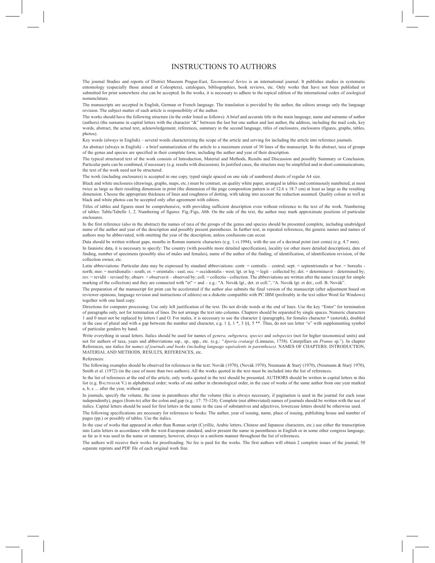#### INSTRUCTIONS TO AUTHORS

The journal Studies and reports of District Museum Prague-East, *Taxonomical Series* is an international journal. It publishes studies in systematic entomology (especially those aimed at Coleoptera), catalogues, bibliographies, book reviews, etc. Only works that have not been published or submitted for print somewhere else can be accepted. In the works, it is necessary to adhere to the topical edition of the international codex of zoological nomenclature.

The manuscripts are accepted in English, German or French language. The translation is provided by the author, the editors arrange only the language revision. The subject matter of each article is responsibility of the author.

The works should have the following structure (in the order listed as follows): A brief and accurate title in the main language, name and surname of author (authors) (the surname in capital letters with the character "&" between the last but one author and last author, the address, including the mail code, key words, abstract, the actual text, acknowledgement, references, summary in the second language, titles of enclosures, enclosures (figures, graphs, tables, photos).

Key words (always in English) – several words characterizing the scope of the article and serving for including the article into reference journals.

An abstract (always in English) – a brief summarization of the article to a maximum extent of 30 lines of the manuscript. In the abstract, taxa of groups of the genus and species are specified in their complete form, including the author and year of their description.

The typical structured text of the work consists of Introduction, Material and Methods, Results and Discussion and possibly Summary or Conclusion. Particular parts can be combined, if necessary (e.g. results with discussion). In justified cases, the structure may be simplified and in short communications, the text of the work need not be structured.

The work (including enclosures) is accepted in one copy, typed single spaced on one side of numbered sheets of regular A4 size.

Black and white enclosures (drawings, graphs, maps, etc.) must be contrast, on quality white paper, arranged in tables and continuously numbered, at most twice as large as their resulting dimension in print (the dimension of the page composition pattern is of 12.6 x 18.7 cm) at least as large as the resulting dimension. Choose the appropriate thickness of lines and roughness of dotting, with taking into account the reduction assumed. Quality colour as well as black and white photos can be accepted only after agreement with editors.

Titles of tables and figures must be comprehensive, with providing sufficient description even without reference to the text of the work. Numbering of tables: Table/Tabelle 1, 2. Numbering of figures: Fig./Figs, Abb. On the side of the text, the author may mark approximate positions of particular enclosures.

In the first reference (also in the abstract) the names of taxa of the groups of the genus and species should be presented complete, including unabridged name of the author and year of the description and possibly present parentheses. In further text, in repeated references, the generic names and names of authors may be abbreviated, with omitting the year of the description, unless confusions can occur.

Data should be written without gaps, months in Roman numeric characters (e.g. 1.vi.1994), with the use of a decimal point (not coma) (e.g. 4.7 mm).

In faunistic data, it is necessary to specify: The country (with possible more detailed specification), locality (or other more detailed description), date of finding, number of specimens (possibly also of males and females), name of the author of the finding, of identification, of identification revision, of the collection owner, etc.

Latin abbreviations: Particular data may be expressed by standard abbreviations: centr. = centralis – central; sept. = septentrionalis or bor. = borealis north; mer. = meridionalis - south; or. = orientalis - east; occ. = occidentalis - west; lgt. or leg. = legit - collected by; det. = determinavit - determined by; rev. = revidit – revised by; observ. = observavit – observed by; coll. = collectio - collection. The abbreviations are written after the name (except for simple marking of the collection) and they are connected with "et" = and – e.g.: "A. Novák lgt., det. et coll.", "A. Novák lgt. et det., coll. B. Novák"

The preparation of the manuscript for print can be accelerated if the author also submits the final version of the manuscript (after adjustment based on reviewer opinions, language revision and instructions of editors) on a diskette compatible with PC IBM (preferably in the text editor Word for Windows) together with one hard copy.

Directions for computer processing: Use only left justification of the text. Do not divide words at the end of lines. Use the key "Enter" for termination of paragraphs only, not for termination of lines. Do not arrange the text into columns. Chapters should be separated by single spaces. Numeric characters 1 and 0 must not be replaced by letters 1 and O. For males, it is necessary to use the character § (paragraph), for females character \* (asterisk), doubled<br>in the case of plural and with a gap between the number and charac of particular genders by hand.

Write everything in usual letters. Italics should be used for names of *genera, subgenera, species* and *subspecies* (not for higher taxonomical units) and not for authors of taxa, years and abbreviations ssp., sp., spp., etc. (e.g.: "*Aporia crataegi* (Linnaeus, 1758). Caterpillars on *Prunus* sp."). In chapter References, use italics for *names of journals and books (including language equivalents in parentheses).* NAMES OF CHAPTERS: INTRODUCTION, MATERIAL AND METHODS, RESULTS, REFERENCES, etc.

#### References:

The following examples should be observed for references in the text: Novák (1970), (Novák 1970), Neumann & Starý (1970), (Neumann & Starý 1970), Smith et al. (1972) (in the case of more than two authors). All the works quoted in the text must be included into the list of references.

In the list of references at the end of the article, only works quoted in the text should be presented. AUTHORS should be written in capital letters in this list (e.g. BALTHASAR V.) in alphabetical order; works of one author in chronological order, in the case of works of the same author from one year marked a, b, c ... after the year, without gap.

In journals, specify the volume, the issue in parentheses after the volume (this is always necessary, if pagination is used in the journal for each issue independently), pages (from-to) after the colon and gap (e.g.: 17: 75-124). Complete (not abbreviated) names of journals should be written with the use of italics. Capital letters should be used for first letters in the name in the case of substantives and adjectives, lowercase letters should be otherwise used.

The following specifications are necessary for references to books: The author, year of issuing, name, place of issuing, publishing house and number of pages (pp.) or possibly of tables. Use the italics.

In the case of works that appeared in other than Roman script (Cyrillic, Arabic letters, Chinese and Japanese characters, etc.) use either the transcription into Latin letters in accordance with the west-European standard, and/or present the name in parentheses in English or in some other congress language, as far as it was used in the name or summary, however, always in a uniform manner throughout the list of references.

The authors will receive their works for proofreading. No fee is paid for the works. The first authors will obtain 2 complete issues of the journal, 50 separate reprints and PDF file of each original work free.